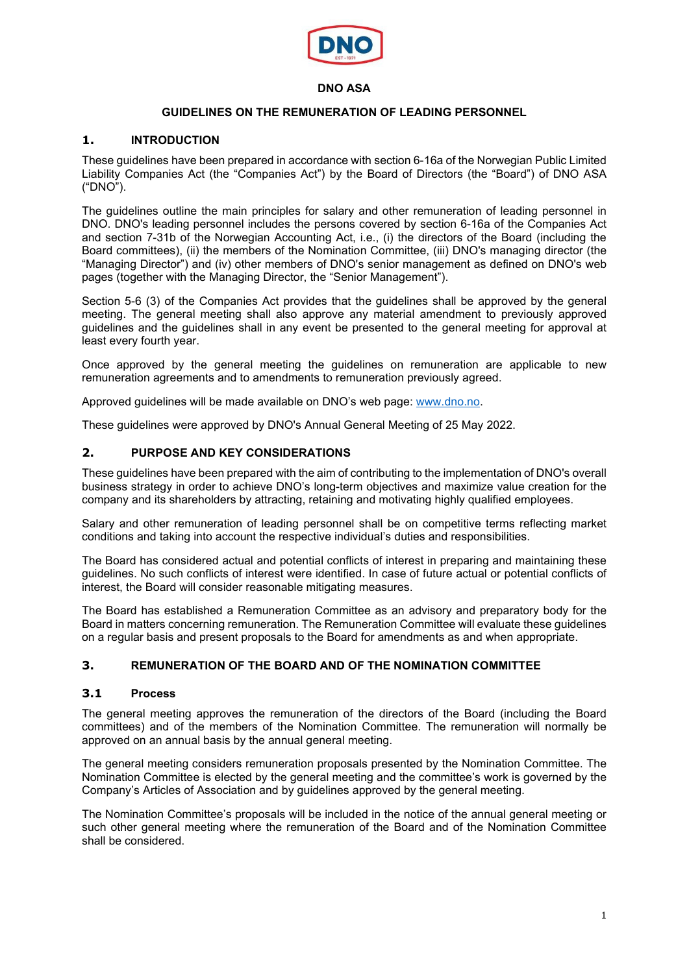

#### **DNO ASA**

### **GUIDELINES ON THE REMUNERATION OF LEADING PERSONNEL**

#### **1. INTRODUCTION**

These guidelines have been prepared in accordance with section 6-16a of the Norwegian Public Limited Liability Companies Act (the "Companies Act") by the Board of Directors (the "Board") of DNO ASA ("DNO").

The guidelines outline the main principles for salary and other remuneration of leading personnel in DNO. DNO's leading personnel includes the persons covered by section 6-16a of the Companies Act and section 7-31b of the Norwegian Accounting Act, i.e., (i) the directors of the Board (including the Board committees), (ii) the members of the Nomination Committee, (iii) DNO's managing director (the "Managing Director") and (iv) other members of DNO's senior management as defined on DNO's web pages (together with the Managing Director, the "Senior Management").

Section 5-6 (3) of the Companies Act provides that the guidelines shall be approved by the general meeting. The general meeting shall also approve any material amendment to previously approved guidelines and the guidelines shall in any event be presented to the general meeting for approval at least every fourth year.

Once approved by the general meeting the guidelines on remuneration are applicable to new remuneration agreements and to amendments to remuneration previously agreed.

Approved guidelines will be made available on DNO's web page: [www.dno.no.](http://www.dno.no/)

These guidelines were approved by DNO's Annual General Meeting of 25 May 2022.

# **2. PURPOSE AND KEY CONSIDERATIONS**

These guidelines have been prepared with the aim of contributing to the implementation of DNO's overall business strategy in order to achieve DNO's long-term objectives and maximize value creation for the company and its shareholders by attracting, retaining and motivating highly qualified employees.

Salary and other remuneration of leading personnel shall be on competitive terms reflecting market conditions and taking into account the respective individual's duties and responsibilities.

The Board has considered actual and potential conflicts of interest in preparing and maintaining these guidelines. No such conflicts of interest were identified. In case of future actual or potential conflicts of interest, the Board will consider reasonable mitigating measures.

The Board has established a Remuneration Committee as an advisory and preparatory body for the Board in matters concerning remuneration. The Remuneration Committee will evaluate these guidelines on a regular basis and present proposals to the Board for amendments as and when appropriate.

### **3. REMUNERATION OF THE BOARD AND OF THE NOMINATION COMMITTEE**

#### **3.1 Process**

The general meeting approves the remuneration of the directors of the Board (including the Board committees) and of the members of the Nomination Committee. The remuneration will normally be approved on an annual basis by the annual general meeting.

The general meeting considers remuneration proposals presented by the Nomination Committee. The Nomination Committee is elected by the general meeting and the committee's work is governed by the Company's Articles of Association and by guidelines approved by the general meeting.

The Nomination Committee's proposals will be included in the notice of the annual general meeting or such other general meeting where the remuneration of the Board and of the Nomination Committee shall be considered.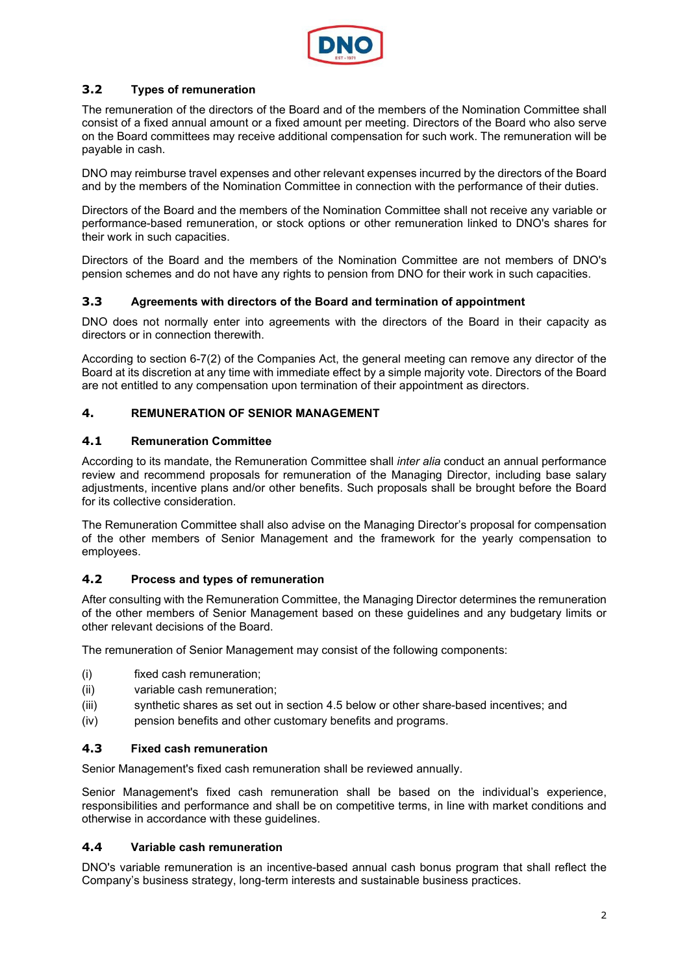

# **3.2 Types of remuneration**

The remuneration of the directors of the Board and of the members of the Nomination Committee shall consist of a fixed annual amount or a fixed amount per meeting. Directors of the Board who also serve on the Board committees may receive additional compensation for such work. The remuneration will be payable in cash.

DNO may reimburse travel expenses and other relevant expenses incurred by the directors of the Board and by the members of the Nomination Committee in connection with the performance of their duties.

Directors of the Board and the members of the Nomination Committee shall not receive any variable or performance-based remuneration, or stock options or other remuneration linked to DNO's shares for their work in such capacities.

Directors of the Board and the members of the Nomination Committee are not members of DNO's pension schemes and do not have any rights to pension from DNO for their work in such capacities.

## **3.3 Agreements with directors of the Board and termination of appointment**

DNO does not normally enter into agreements with the directors of the Board in their capacity as directors or in connection therewith.

According to section 6-7(2) of the Companies Act, the general meeting can remove any director of the Board at its discretion at any time with immediate effect by a simple majority vote. Directors of the Board are not entitled to any compensation upon termination of their appointment as directors.

## **4. REMUNERATION OF SENIOR MANAGEMENT**

### **4.1 Remuneration Committee**

According to its mandate, the Remuneration Committee shall *inter alia* conduct an annual performance review and recommend proposals for remuneration of the Managing Director, including base salary adjustments, incentive plans and/or other benefits. Such proposals shall be brought before the Board for its collective consideration.

The Remuneration Committee shall also advise on the Managing Director's proposal for compensation of the other members of Senior Management and the framework for the yearly compensation to employees.

### **4.2 Process and types of remuneration**

After consulting with the Remuneration Committee, the Managing Director determines the remuneration of the other members of Senior Management based on these guidelines and any budgetary limits or other relevant decisions of the Board.

The remuneration of Senior Management may consist of the following components:

- (i) fixed cash remuneration;
- (ii) variable cash remuneration;
- (iii) synthetic shares as set out in section 4.5 below or other share-based incentives; and
- (iv) pension benefits and other customary benefits and programs.

### **4.3 Fixed cash remuneration**

Senior Management's fixed cash remuneration shall be reviewed annually.

Senior Management's fixed cash remuneration shall be based on the individual's experience, responsibilities and performance and shall be on competitive terms, in line with market conditions and otherwise in accordance with these guidelines.

### **4.4 Variable cash remuneration**

DNO's variable remuneration is an incentive-based annual cash bonus program that shall reflect the Company's business strategy, long-term interests and sustainable business practices.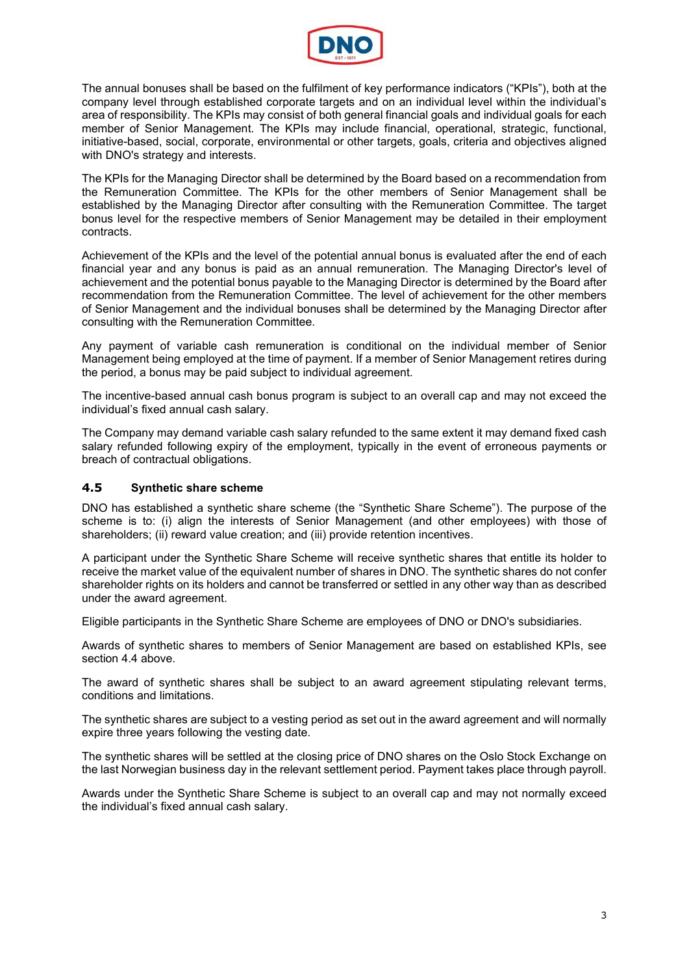

The annual bonuses shall be based on the fulfilment of key performance indicators ("KPIs"), both at the company level through established corporate targets and on an individual level within the individual's area of responsibility. The KPIs may consist of both general financial goals and individual goals for each member of Senior Management. The KPIs may include financial, operational, strategic, functional, initiative-based, social, corporate, environmental or other targets, goals, criteria and objectives aligned with DNO's strategy and interests.

The KPIs for the Managing Director shall be determined by the Board based on a recommendation from the Remuneration Committee. The KPIs for the other members of Senior Management shall be established by the Managing Director after consulting with the Remuneration Committee. The target bonus level for the respective members of Senior Management may be detailed in their employment contracts.

Achievement of the KPIs and the level of the potential annual bonus is evaluated after the end of each financial year and any bonus is paid as an annual remuneration. The Managing Director's level of achievement and the potential bonus payable to the Managing Director is determined by the Board after recommendation from the Remuneration Committee. The level of achievement for the other members of Senior Management and the individual bonuses shall be determined by the Managing Director after consulting with the Remuneration Committee.

Any payment of variable cash remuneration is conditional on the individual member of Senior Management being employed at the time of payment. If a member of Senior Management retires during the period, a bonus may be paid subject to individual agreement.

The incentive-based annual cash bonus program is subject to an overall cap and may not exceed the individual's fixed annual cash salary.

The Company may demand variable cash salary refunded to the same extent it may demand fixed cash salary refunded following expiry of the employment, typically in the event of erroneous payments or breach of contractual obligations.

### **4.5 Synthetic share scheme**

DNO has established a synthetic share scheme (the "Synthetic Share Scheme"). The purpose of the scheme is to: (i) align the interests of Senior Management (and other employees) with those of shareholders; (ii) reward value creation; and (iii) provide retention incentives.

A participant under the Synthetic Share Scheme will receive synthetic shares that entitle its holder to receive the market value of the equivalent number of shares in DNO. The synthetic shares do not confer shareholder rights on its holders and cannot be transferred or settled in any other way than as described under the award agreement.

Eligible participants in the Synthetic Share Scheme are employees of DNO or DNO's subsidiaries.

Awards of synthetic shares to members of Senior Management are based on established KPIs, see section 4.4 above.

The award of synthetic shares shall be subject to an award agreement stipulating relevant terms, conditions and limitations.

The synthetic shares are subject to a vesting period as set out in the award agreement and will normally expire three years following the vesting date.

The synthetic shares will be settled at the closing price of DNO shares on the Oslo Stock Exchange on the last Norwegian business day in the relevant settlement period. Payment takes place through payroll.

Awards under the Synthetic Share Scheme is subject to an overall cap and may not normally exceed the individual's fixed annual cash salary.